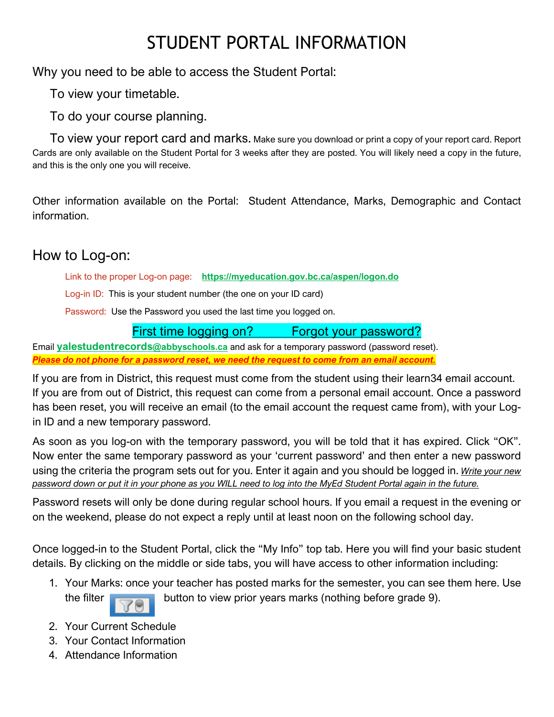## STUDENT PORTAL INFORMATION

Why you need to be able to access the Student Portal:

To view your timetable.

To do your course planning.

 To view your report card and marks. Make sure you download or print a copy of your report card. Report Cards are only available on the Student Portal for 3 weeks after they are posted. You will likely need a copy in the future, and this is the only one you will receive.

Other information available on the Portal: Student Attendance, Marks, Demographic and Contact information.

## How to Log-on:

Link to the proper Log-on page: **<https://myeducation.gov.bc.ca/aspen/logon.do>**

Log-in ID: This is your student number (the one on your ID card)

Password: Use the Password you used the last time you logged on.

#### First time logging on? Forgot your password?

Email **[yalestudentrecords@abbyschools.ca](mailto:yalestudentrecords@abbyschools.ca)** and ask for a temporary password (password reset). *Please do not phone for a password reset, we need the request to come from an email account.*

If you are from in District, this request must come from the student using their learn34 email account. If you are from out of District, this request can come from a personal email account. Once a password has been reset, you will receive an email (to the email account the request came from), with your Login ID and a new temporary password.

As soon as you log-on with the temporary password, you will be told that it has expired. Click "OK". Now enter the same temporary password as your 'current password' and then enter a new password using the criteria the program sets out for you. Enter it again and you should be logged in. *Write your new password down or put it in your phone as you WILL need to log into the MyEd Student Portal again in the future.*

Password resets will only be done during regular school hours. If you email a request in the evening or on the weekend, please do not expect a reply until at least noon on the following school day.

Once logged-in to the Student Portal, click the "My Info" top tab. Here you will find your basic student details. By clicking on the middle or side tabs, you will have access to other information including:

- 1. Your Marks: once your teacher has posted marks for the semester, you can see them here. Use the filter  $\overline{a}$  button to view prior years marks (nothing before grade 9).
- 2. Your Current Schedule
- 3. Your Contact Information
- 4. Attendance Information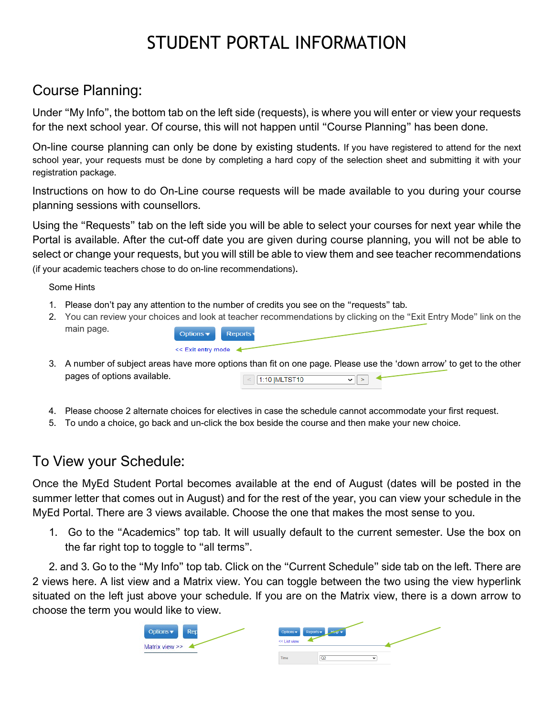# STUDENT PORTAL INFORMATION

## Course Planning:

Under "My Info", the bottom tab on the left side (requests), is where you will enter or view your requests for the next school year. Of course, this will not happen until "Course Planning" has been done.

On-line course planning can only be done by existing students. If you have registered to attend for the next school year, your requests must be done by completing a hard copy of the selection sheet and submitting it with your registration package.

Instructions on how to do On-Line course requests will be made available to you during your course planning sessions with counsellors.

Using the "Requests" tab on the left side you will be able to select your courses for next year while the Portal is available. After the cut-off date you are given during course planning, you will not be able to select or change your requests, but you will still be able to view them and see teacher recommendations (if your academic teachers chose to do on-line recommendations).

#### Some Hints

1. Please don't pay any attention to the number of credits you see on the "requests" tab.

<< Exit entry mode

- 2. You can review your choices and look at teacher recommendations by clicking on the "Exit Entry Mode" link on the main page. Options  $\blacktriangledown$ **Reports**
- 3. A number of subject areas have more options than fit on one page. Please use the 'down arrow' to get to the other pages of options available.  $\overline{\mathcal{L}}$  1:10 |MLTST10  $\sqrt{|\cdot|}$
- 4. Please choose 2 alternate choices for electives in case the schedule cannot accommodate your first request.
- 5. To undo a choice, go back and un-click the box beside the course and then make your new choice.

#### To View your Schedule:

Once the MyEd Student Portal becomes available at the end of August (dates will be posted in the summer letter that comes out in August) and for the rest of the year, you can view your schedule in the MyEd Portal. There are 3 views available. Choose the one that makes the most sense to you.

1. Go to the "Academics" top tab. It will usually default to the current semester. Use the box on the far right top to toggle to "all terms".

2. and 3. Go to the "My Info" top tab. Click on the "Current Schedule" side tab on the left. There are 2 views here. A list view and a Matrix view. You can toggle between the two using the view hyperlink situated on the left just above your schedule. If you are on the Matrix view, there is a down arrow to choose the term you would like to view.